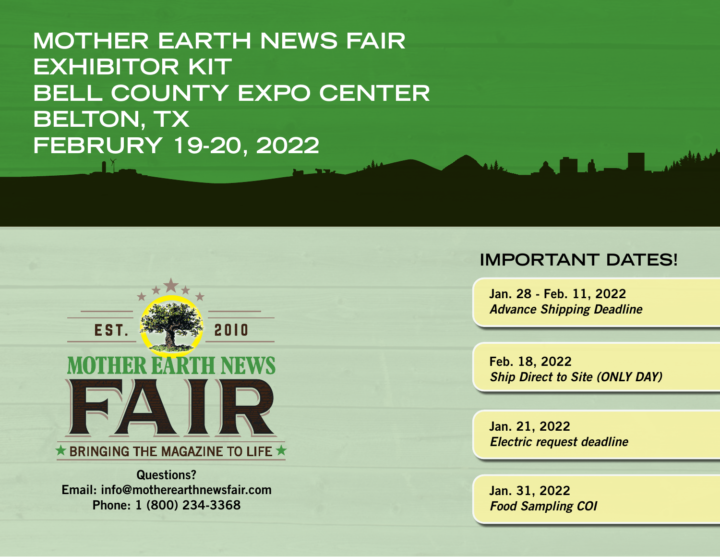**MOTHER EARTH NEWS FAIR EXHIBITOR KIT BELL COUNTY EXPO CENTER BELTON, TX FEBRURY 19-20, 2022**



 $\star$  BRINGING THE MAGAZINE TO LIFE  $\star$ 

Questions? Email: info@motherearthnewsfair.com Phone: 1 (800) 234-3368

#### **IMPORTANT DATES!**

**Contract Service** 

Jan. 28 - Feb. 11, 2022 *Advance Shipping Deadline*

Feb. 18, 2022 *Ship Direct to Site (ONLY DAY)*

Jan. 21, 2022 *Electric request deadline*

Jan. 31, 2022 *Food Sampling COI*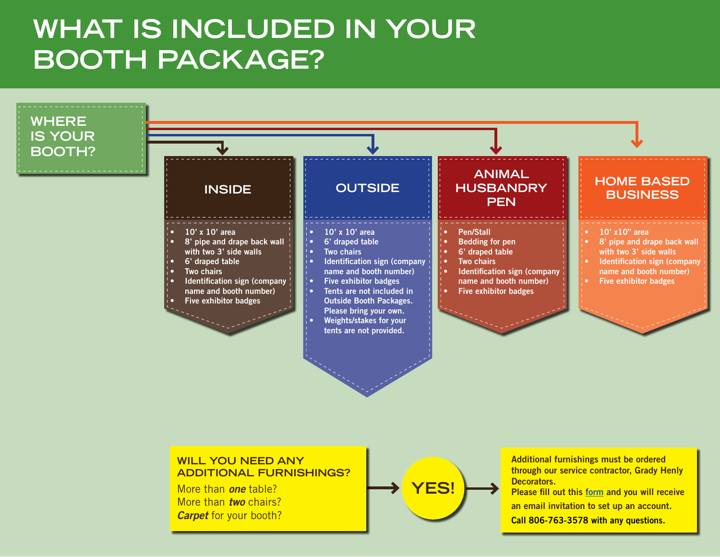#### **WHAT IS INCLUDED IN YOUR BOOTH PACKAGE?**





#### **WILL YOU NEED ANY ADDITIONAL FURNISHINGS?**

More than *one* table? More than *two* chairs? *Carpet* for your booth?



Additional furnishings must be ordered through our service contractor, Grady Henly Decorators.

Please fill out this [form](https://app.smartsheet.com/b/form/64b0f665e8714265ba746e98a02ffafa) and you will receive an email invitation to set up an account.

Call 806-763-3578 with any questions.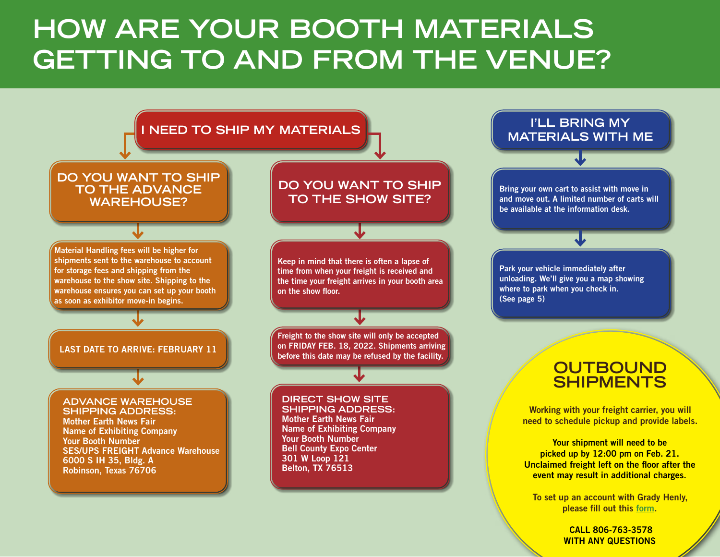### **HOW ARE YOUR BOOTH MATERIALS GETTING TO AND FROM THE VENUE?**



 CALL 806-763-3578 WITH ANY QUESTIONS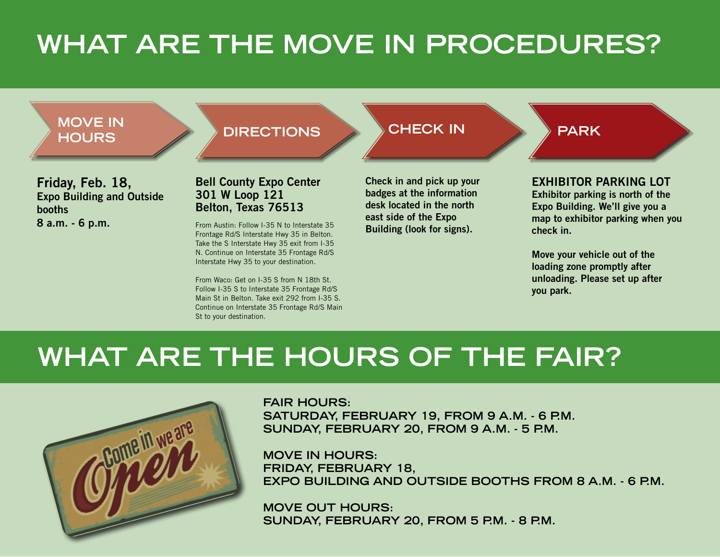# **WHAT ARE THE MOVE IN PROCEDURES?**



From Waco: Get on I-35 S from N 18th St. Follow I-35 S to Interstate 35 Frontage Rd/S Main St in Belton. Take exit 292 from I-35 S. Continue on Interstate 35 Frontage Rd/S Main St to your destination.

unloading. Please set up after you park.

#### **WHAT ARE THE HOURS OF THE FAIR?**



**FAIR HOURS: SATURDAY, FEBRUARY 19, FROM 9 A.M. - 6 P.M. SUNDAY, FEBRUARY 20, FROM 9 A.M. - 5 P.M.**

**MOVE IN HOURS: FRIDAY, FEBRUARY 18, EXPO BUILDING AND OUTSIDE BOOTHS FROM 8 A.M. - 6 P.M.**

**MOVE OUT HOURS: SUNDAY, FEBRUARY 20, FROM 5 P.M. - 8 P.M.**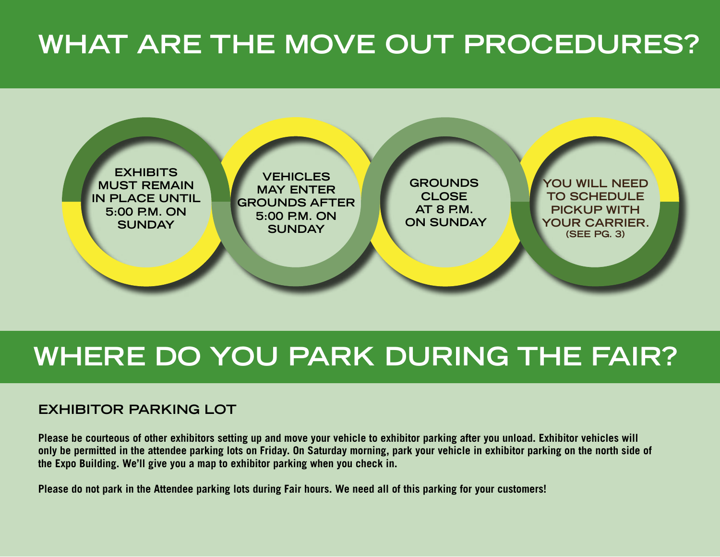## **WHAT ARE THE MOVE OUT PROCEDURES?**



#### **WHERE DO YOU PARK DURING THE FAIR?**

#### **EXHIBITOR PARKING LOT**

**Please be courteous of other exhibitors setting up and move your vehicle to exhibitor parking after you unload. Exhibitor vehicles will only be permitted in the attendee parking lots on Friday. On Saturday morning, park your vehicle in exhibitor parking on the north side of the Expo Building. We'll give you a map to exhibitor parking when you check in.** 

**Please do not park in the Attendee parking lots during Fair hours. We need all of this parking for your customers!**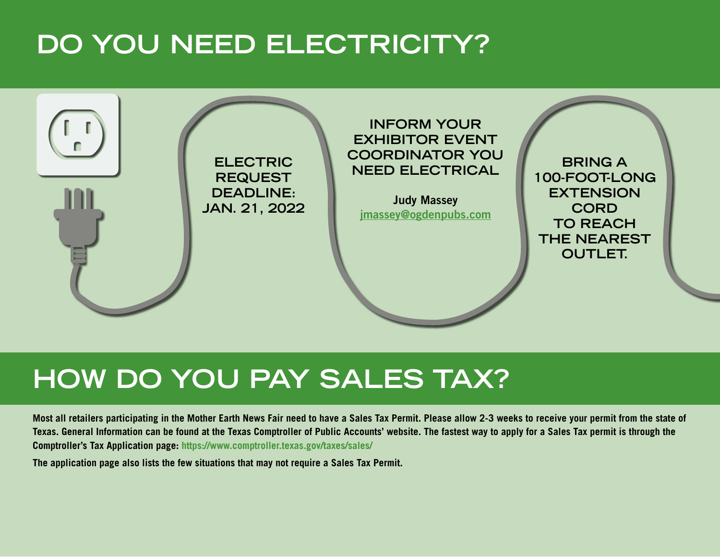## **DO YOU NEED ELECTRICITY?**



#### **HOW DO YOU PAY SALES TAX?**

**Most all retailers participating in the Mother Earth News Fair need to have a Sales Tax Permit. Please allow 2-3 weeks to receive your permit from the state of Texas. General Information can be found at the Texas Comptroller of Public Accounts' website. The fastest way to apply for a Sales Tax permit is through the Comptroller's Tax Application page: https://www.comptroller.texas.gov/taxes/sales/**

**The application page also lists the few situations that may not require a Sales Tax Permit.**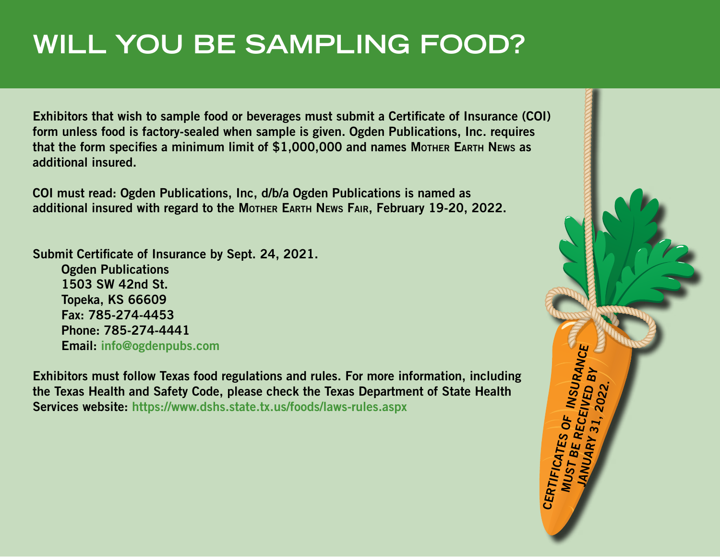# **WILL YOU BE SAMPLING FOOD?**

Exhibitors that wish to sample food or beverages must submit a Certificate of Insurance (COI) form unless food is factory-sealed when sample is given. Ogden Publications, Inc. requires that the form specifies a minimum limit of \$1,000,000 and names Mother Earth News as additional insured.

COI must read: Ogden Publications, Inc, d/b/a Ogden Publications is named as additional insured with regard to the Mother EARTH News FAIR, February 19-20, 2022.

Submit Certificate of Insurance by Sept. 24, 2021.

Ogden Publications 1503 SW 42nd St. Topeka, KS 66609 Fax: 785-274-4453 Phone: 785-274-4441 Email: info@ogdenpubs.com

Exhibitors must follow Texas food regulations and rules. For more information, including the Texas Health and Safety Code, please check the Texas Department of State Health Email: info@ogdenpubs.com<br>
Exhibitors must follow Texas food regulations and rules. For more information, including<br>
the Texas Health and Safety Code, please check the Texas Department of State Health<br>
Services website: h

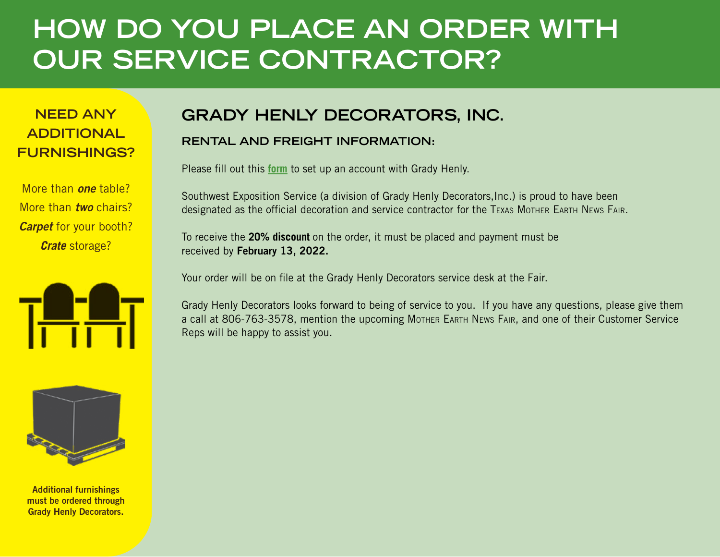#### **HOW DO YOU PLACE AN ORDER WITH OUR SERVICE CONTRACTOR?**

#### **ADDITIONAL FURNISHINGS?**

More than *one* table? More than *two* chairs? *Carpet* for your booth? *Crate* storage?





Additional furnishings must be ordered through Grady Henly Decorators.

#### **NEED ANY GRADY HENLY DECORATORS, INC.**

#### **RENTAL AND FREIGHT INFORMATION:**

Please fill out this **[form](https://app.smartsheet.com/b/form/64b0f665e8714265ba746e98a02ffafa)** to set up an account with Grady Henly.

Southwest Exposition Service (a division of Grady Henly Decorators,Inc.) is proud to have been designated as the official decoration and service contractor for the Texas Mother Earth News Fair.

To receive the **20% discount** on the order, it must be placed and payment must be received by February 13, 2022.

Your order will be on file at the Grady Henly Decorators service desk at the Fair.

Grady Henly Decorators looks forward to being of service to you. If you have any questions, please give them a call at 806-763-3578, mention the upcoming Mother EARTH News FAIR, and one of their Customer Service Reps will be happy to assist you.